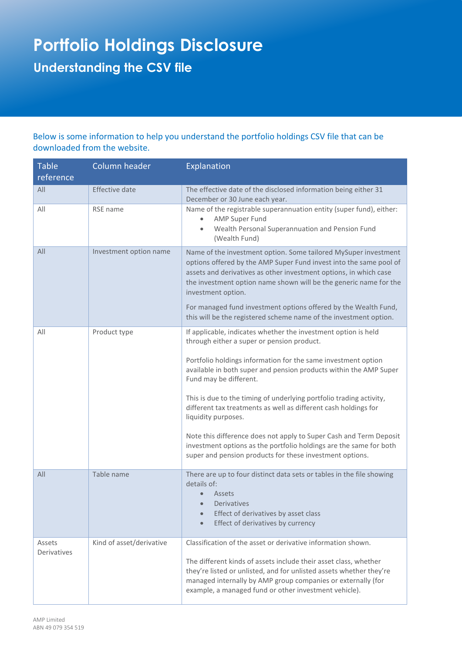## **Portfolio Holdings Disclosure Understanding the CSV file**

Below is some information to help you understand the portfolio holdings CSV file that can be downloaded from the website.

| <b>Table</b><br>reference | Column header            | Explanation                                                                                                                                                                                                                                                                                                                                                                                                                                                                                                                                                                                                                                           |
|---------------------------|--------------------------|-------------------------------------------------------------------------------------------------------------------------------------------------------------------------------------------------------------------------------------------------------------------------------------------------------------------------------------------------------------------------------------------------------------------------------------------------------------------------------------------------------------------------------------------------------------------------------------------------------------------------------------------------------|
| All                       | <b>Effective date</b>    | The effective date of the disclosed information being either 31<br>December or 30 June each year.                                                                                                                                                                                                                                                                                                                                                                                                                                                                                                                                                     |
| All                       | RSE name                 | Name of the registrable superannuation entity (super fund), either:<br>AMP Super Fund<br>Wealth Personal Superannuation and Pension Fund<br>(Wealth Fund)                                                                                                                                                                                                                                                                                                                                                                                                                                                                                             |
| All                       | Investment option name   | Name of the investment option. Some tailored MySuper investment<br>options offered by the AMP Super Fund invest into the same pool of<br>assets and derivatives as other investment options, in which case<br>the investment option name shown will be the generic name for the<br>investment option.<br>For managed fund investment options offered by the Wealth Fund,<br>this will be the registered scheme name of the investment option.                                                                                                                                                                                                         |
| All                       | Product type             | If applicable, indicates whether the investment option is held<br>through either a super or pension product.<br>Portfolio holdings information for the same investment option<br>available in both super and pension products within the AMP Super<br>Fund may be different.<br>This is due to the timing of underlying portfolio trading activity,<br>different tax treatments as well as different cash holdings for<br>liquidity purposes.<br>Note this difference does not apply to Super Cash and Term Deposit<br>investment options as the portfolio holdings are the same for both<br>super and pension products for these investment options. |
| All                       | Table name               | There are up to four distinct data sets or tables in the file showing<br>details of:<br>Assets<br>Derivatives<br>Effect of derivatives by asset class<br>Effect of derivatives by currency                                                                                                                                                                                                                                                                                                                                                                                                                                                            |
| Assets<br>Derivatives     | Kind of asset/derivative | Classification of the asset or derivative information shown.<br>The different kinds of assets include their asset class, whether<br>they're listed or unlisted, and for unlisted assets whether they're<br>managed internally by AMP group companies or externally (for<br>example, a managed fund or other investment vehicle).                                                                                                                                                                                                                                                                                                                      |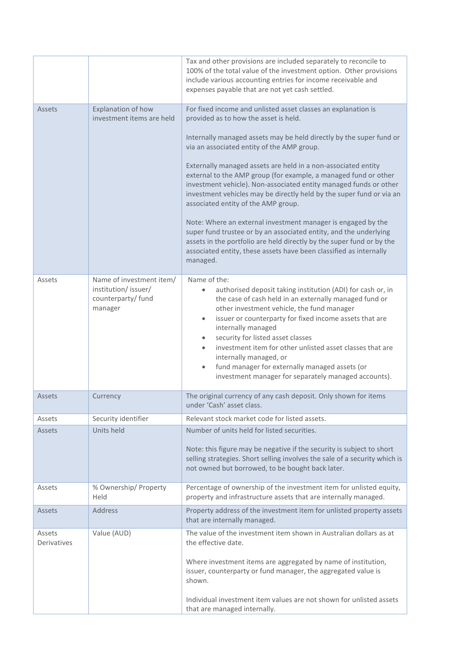|                       |                                                                                  | Tax and other provisions are included separately to reconcile to<br>100% of the total value of the investment option. Other provisions<br>include various accounting entries for income receivable and<br>expenses payable that are not yet cash settled.                                                                                                                                                                                                                                                                                                                   |
|-----------------------|----------------------------------------------------------------------------------|-----------------------------------------------------------------------------------------------------------------------------------------------------------------------------------------------------------------------------------------------------------------------------------------------------------------------------------------------------------------------------------------------------------------------------------------------------------------------------------------------------------------------------------------------------------------------------|
| Assets                | Explanation of how<br>investment items are held                                  | For fixed income and unlisted asset classes an explanation is<br>provided as to how the asset is held.                                                                                                                                                                                                                                                                                                                                                                                                                                                                      |
|                       |                                                                                  | Internally managed assets may be held directly by the super fund or<br>via an associated entity of the AMP group.                                                                                                                                                                                                                                                                                                                                                                                                                                                           |
|                       |                                                                                  | Externally managed assets are held in a non-associated entity<br>external to the AMP group (for example, a managed fund or other<br>investment vehicle). Non-associated entity managed funds or other<br>investment vehicles may be directly held by the super fund or via an<br>associated entity of the AMP group.                                                                                                                                                                                                                                                        |
|                       |                                                                                  | Note: Where an external investment manager is engaged by the<br>super fund trustee or by an associated entity, and the underlying<br>assets in the portfolio are held directly by the super fund or by the<br>associated entity, these assets have been classified as internally<br>managed.                                                                                                                                                                                                                                                                                |
| Assets                | Name of investment item/<br>institution/issuer/<br>counterparty/ fund<br>manager | Name of the:<br>authorised deposit taking institution (ADI) for cash or, in<br>$\bullet$<br>the case of cash held in an externally managed fund or<br>other investment vehicle, the fund manager<br>issuer or counterparty for fixed income assets that are<br>$\bullet$<br>internally managed<br>security for listed asset classes<br>$\bullet$<br>investment item for other unlisted asset classes that are<br>$\bullet$<br>internally managed, or<br>fund manager for externally managed assets (or<br>$\bullet$<br>investment manager for separately managed accounts). |
| Assets                | Currency                                                                         | The original currency of any cash deposit. Only shown for items<br>under 'Cash' asset class.                                                                                                                                                                                                                                                                                                                                                                                                                                                                                |
| Assets                | Security identifier                                                              | Relevant stock market code for listed assets.                                                                                                                                                                                                                                                                                                                                                                                                                                                                                                                               |
| <b>Assets</b>         | Units held                                                                       | Number of units held for listed securities.                                                                                                                                                                                                                                                                                                                                                                                                                                                                                                                                 |
|                       |                                                                                  | Note: this figure may be negative if the security is subject to short<br>selling strategies. Short selling involves the sale of a security which is<br>not owned but borrowed, to be bought back later.                                                                                                                                                                                                                                                                                                                                                                     |
| Assets                | % Ownership/ Property<br>Held                                                    | Percentage of ownership of the investment item for unlisted equity,<br>property and infrastructure assets that are internally managed.                                                                                                                                                                                                                                                                                                                                                                                                                                      |
| Assets                | Address                                                                          | Property address of the investment item for unlisted property assets<br>that are internally managed.                                                                                                                                                                                                                                                                                                                                                                                                                                                                        |
| Assets<br>Derivatives | Value (AUD)                                                                      | The value of the investment item shown in Australian dollars as at<br>the effective date.                                                                                                                                                                                                                                                                                                                                                                                                                                                                                   |
|                       |                                                                                  | Where investment items are aggregated by name of institution,<br>issuer, counterparty or fund manager, the aggregated value is<br>shown.                                                                                                                                                                                                                                                                                                                                                                                                                                    |
|                       |                                                                                  | Individual investment item values are not shown for unlisted assets<br>that are managed internally.                                                                                                                                                                                                                                                                                                                                                                                                                                                                         |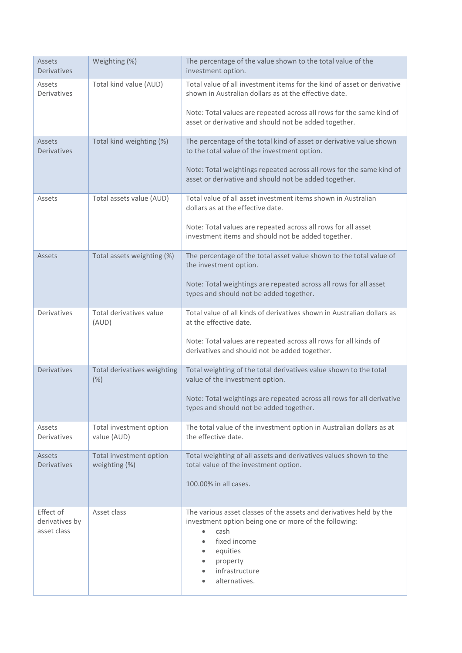| <b>Assets</b><br>Derivatives               | Weighting (%)                            | The percentage of the value shown to the total value of the<br>investment option.                                                                                                                                                                      |
|--------------------------------------------|------------------------------------------|--------------------------------------------------------------------------------------------------------------------------------------------------------------------------------------------------------------------------------------------------------|
| Assets<br>Derivatives                      | Total kind value (AUD)                   | Total value of all investment items for the kind of asset or derivative<br>shown in Australian dollars as at the effective date.                                                                                                                       |
|                                            |                                          | Note: Total values are repeated across all rows for the same kind of<br>asset or derivative and should not be added together.                                                                                                                          |
| <b>Assets</b><br><b>Derivatives</b>        | Total kind weighting (%)                 | The percentage of the total kind of asset or derivative value shown<br>to the total value of the investment option.<br>Note: Total weightings repeated across all rows for the same kind of                                                            |
|                                            |                                          | asset or derivative and should not be added together.                                                                                                                                                                                                  |
| Assets                                     | Total assets value (AUD)                 | Total value of all asset investment items shown in Australian<br>dollars as at the effective date.                                                                                                                                                     |
|                                            |                                          | Note: Total values are repeated across all rows for all asset<br>investment items and should not be added together.                                                                                                                                    |
| <b>Assets</b>                              | Total assets weighting (%)               | The percentage of the total asset value shown to the total value of<br>the investment option.                                                                                                                                                          |
|                                            |                                          | Note: Total weightings are repeated across all rows for all asset<br>types and should not be added together.                                                                                                                                           |
| Derivatives                                | Total derivatives value<br>(AUD)         | Total value of all kinds of derivatives shown in Australian dollars as<br>at the effective date.                                                                                                                                                       |
|                                            |                                          | Note: Total values are repeated across all rows for all kinds of<br>derivatives and should not be added together.                                                                                                                                      |
| Derivatives                                | Total derivatives weighting<br>(%)       | Total weighting of the total derivatives value shown to the total<br>value of the investment option.                                                                                                                                                   |
|                                            |                                          | Note: Total weightings are repeated across all rows for all derivative<br>types and should not be added together.                                                                                                                                      |
| Assets<br>Derivatives                      | Total investment option<br>value (AUD)   | The total value of the investment option in Australian dollars as at<br>the effective date.                                                                                                                                                            |
| Assets<br><b>Derivatives</b>               | Total investment option<br>weighting (%) | Total weighting of all assets and derivatives values shown to the<br>total value of the investment option.                                                                                                                                             |
|                                            |                                          | 100.00% in all cases.                                                                                                                                                                                                                                  |
| Effect of<br>derivatives by<br>asset class | Asset class                              | The various asset classes of the assets and derivatives held by the<br>investment option being one or more of the following:<br>cash<br>fixed income<br>$\bullet$<br>equities<br>$\bullet$<br>property<br>$\bullet$<br>infrastructure<br>alternatives. |